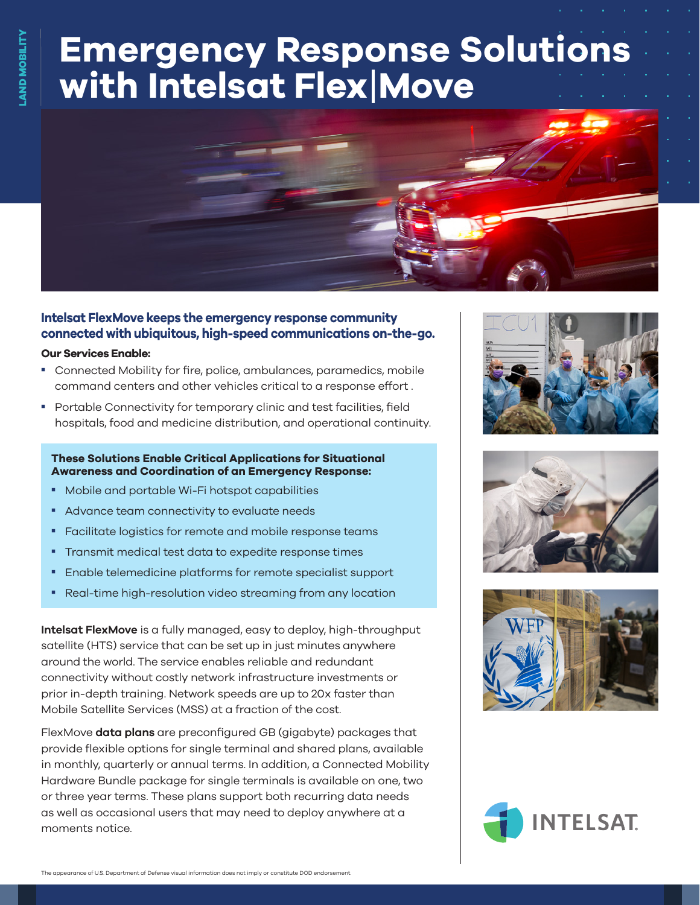# **Emergency Response Solutions with Intelsat Flex**|**Move**



### **Intelsat FlexMove keeps the emergency response community connected with ubiquitous, high-speed communications on-the-go.**

#### **Our Services Enable:**

- Connected Mobility for fire, police, ambulances, paramedics, mobile command centers and other vehicles critical to a response effort .
- Portable Connectivity for temporary clinic and test facilities, field hospitals, food and medicine distribution, and operational continuity.

#### **These Solutions Enable Critical Applications for Situational Awareness and Coordination of an Emergency Response:**

- **Mobile and portable Wi-Fi hotspot capabilities**
- **Advance team connectivity to evaluate needs**
- Facilitate logistics for remote and mobile response teams
- **Transmit medical test data to expedite response times**
- **Enable telemedicine platforms for remote specialist support**
- **Real-time high-resolution video streaming from any location**

**Intelsat FlexMove** is a fully managed, easy to deploy, high-throughput satellite (HTS) service that can be set up in just minutes anywhere around the world. The service enables reliable and redundant connectivity without costly network infrastructure investments or prior in-depth training. Network speeds are up to 20x faster than Mobile Satellite Services (MSS) at a fraction of the cost.

FlexMove **data plans** are preconfigured GB (gigabyte) packages that provide flexible options for single terminal and shared plans, available in monthly, quarterly or annual terms. In addition, a Connected Mobility Hardware Bundle package for single terminals is available on one, two or three year terms. These plans support both recurring data needs as well as occasional users that may need to deploy anywhere at a moments notice.